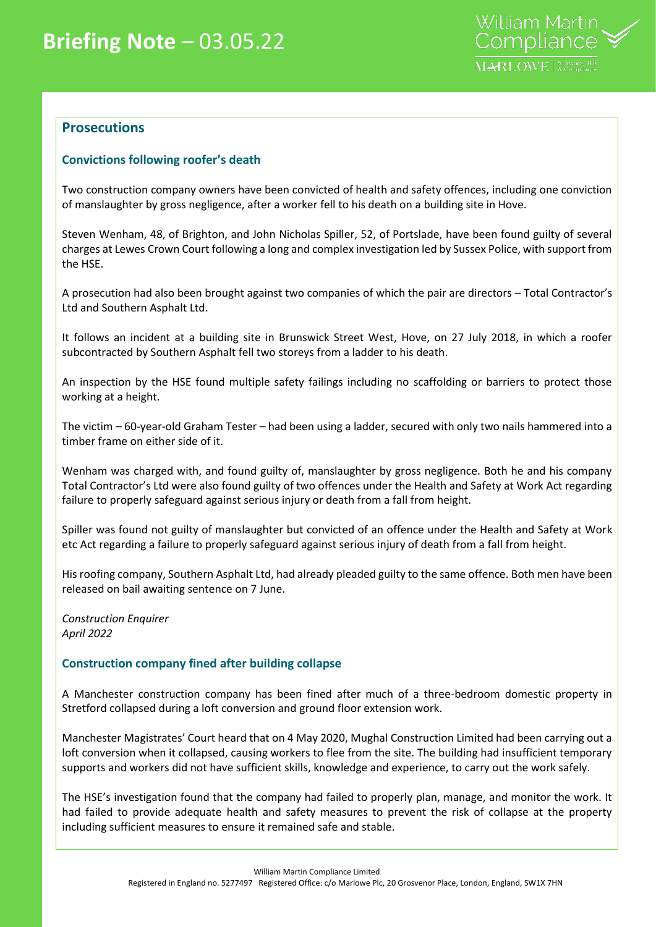

## **Prosecutions**

## **Convictions following roofer's death**

Two construction company owners have been convicted of health and safety offences, including one conviction of manslaughter by gross negligence, after a worker fell to his death on a building site in Hove.

Steven Wenham, 48, of Brighton, and John Nicholas Spiller, 52, of Portslade, have been found guilty of several charges at Lewes Crown Court following a long and complex investigation led by Sussex Police, with support from the HSE.

A prosecution had also been brought against two companies of which the pair are directors – Total Contractor's Ltd and Southern Asphalt Ltd.

It follows an incident at a building site in Brunswick Street West, Hove, on 27 July 2018, in which a roofer subcontracted by Southern Asphalt fell two storeys from a ladder to his death.

An inspection by the HSE found multiple safety failings including no scaffolding or barriers to protect those working at a height.

The victim – 60-year-old Graham Tester – had been using a ladder, secured with only two nails hammered into a timber frame on either side of it.

Wenham was charged with, and found guilty of, manslaughter by gross negligence. Both he and his company Total Contractor's Ltd were also found guilty of two offences under the Health and Safety at Work Act regarding failure to properly safeguard against serious injury or death from a fall from height.

Spiller was found not guilty of manslaughter but convicted of an offence under the Health and Safety at Work etc Act regarding a failure to properly safeguard against serious injury of death from a fall from height.

His roofing company, Southern Asphalt Ltd, had already pleaded guilty to the same offence. Both men have been released on bail awaiting sentence on 7 June.

*Construction Enquirer April 2022*

## **Construction company fined after building collapse**

A Manchester construction company has been fined after much of a three-bedroom domestic property in Stretford collapsed during a loft conversion and ground floor extension work.

Manchester Magistrates' Court heard that on 4 May 2020, Mughal Construction Limited had been carrying out a loft conversion when it collapsed, causing workers to flee from the site. The building had insufficient temporary supports and workers did not have sufficient skills, knowledge and experience, to carry out the work safely.

The HSE's investigation found that the company had failed to properly plan, manage, and monitor the work. It had failed to provide adequate health and safety measures to prevent the risk of collapse at the property including sufficient measures to ensure it remained safe and stable.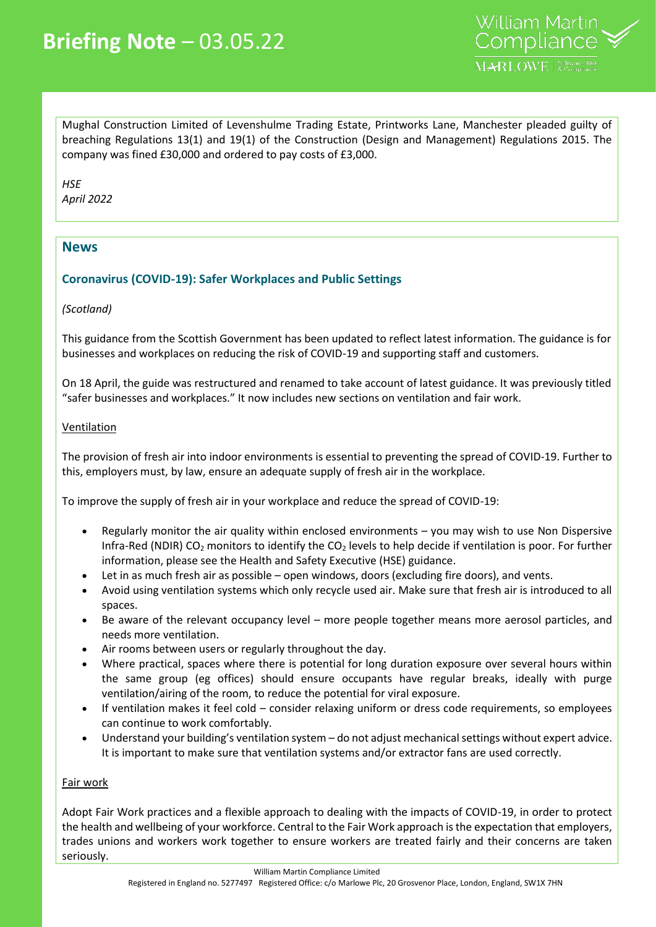Mughal Construction Limited of Levenshulme Trading Estate, Printworks Lane, Manchester pleaded guilty of breaching Regulations 13(1) and 19(1) of the Construction (Design and Management) Regulations 2015. The company was fined £30,000 and ordered to pay costs of £3,000.

*HSE April 2022*

# **News**

# **Coronavirus (COVID-19): Safer Workplaces and Public Settings**

## *(Scotland)*

This guidance from the Scottish Government has been updated to reflect latest information. The guidance is for businesses and workplaces on reducing the risk of COVID-19 and supporting staff and customers.

On 18 April, the guide was restructured and renamed to take account of latest guidance. It was previously titled "safer businesses and workplaces." It now includes new sections on ventilation and fair work.

## **Ventilation**

The provision of fresh air into indoor environments is essential to preventing the spread of COVID-19. Further to this, employers must, by law, ensure an adequate supply of fresh air in the workplace.

To improve the supply of fresh air in your workplace and reduce the spread of COVID-19:

- Regularly monitor the air quality within enclosed environments you may wish to use Non Dispersive Infra-Red (NDIR) CO<sub>2</sub> monitors to identify the CO<sub>2</sub> levels to help decide if ventilation is poor. For further information, please see the Health and Safety Executive (HSE) guidance.
- Let in as much fresh air as possible open windows, doors (excluding fire doors), and vents.
- Avoid using ventilation systems which only recycle used air. Make sure that fresh air is introduced to all spaces.
- Be aware of the relevant occupancy level more people together means more aerosol particles, and needs more ventilation.
- Air rooms between users or regularly throughout the day.
- Where practical, spaces where there is potential for long duration exposure over several hours within the same group (eg offices) should ensure occupants have regular breaks, ideally with purge ventilation/airing of the room, to reduce the potential for viral exposure.
- If ventilation makes it feel cold consider relaxing uniform or dress code requirements, so employees can continue to work comfortably.
- Understand your building's ventilation system do not adjust mechanical settings without expert advice. It is important to make sure that ventilation systems and/or extractor fans are used correctly.

## Fair work

Adopt Fair Work practices and a flexible approach to dealing with the impacts of COVID-19, in order to protect the health and wellbeing of your workforce. Central to the Fair Work approach is the expectation that employers, trades unions and workers work together to ensure workers are treated fairly and their concerns are taken seriously.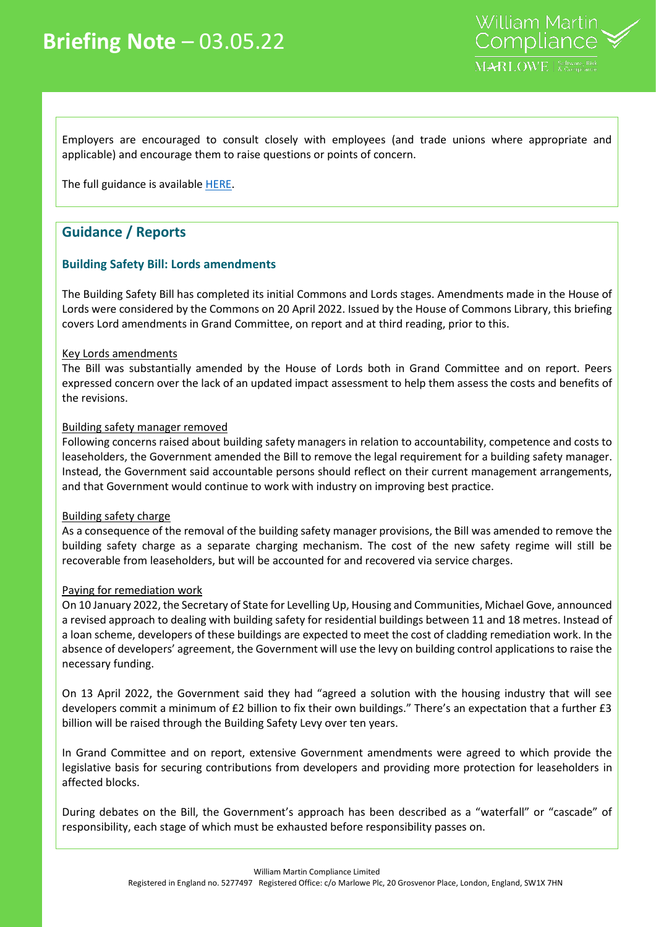

Employers are encouraged to consult closely with employees (and trade unions where appropriate and applicable) and encourage them to raise questions or points of concern.

The full guidance is available [HERE.](https://www.gov.scot/publications/coronavirus-covid-19-general-guidance-for-safer-workplaces/)

# **Guidance / Reports**

## **Building Safety Bill: Lords amendments**

The Building Safety Bill has completed its initial Commons and Lords stages. Amendments made in the House of Lords were considered by the Commons on 20 April 2022. Issued by the House of Commons Library, this briefing covers Lord amendments in Grand Committee, on report and at third reading, prior to this.

#### Key Lords amendments

The Bill was substantially amended by the House of Lords both in Grand Committee and on report. Peers expressed concern over the lack of an updated impact assessment to help them assess the costs and benefits of the revisions.

#### Building safety manager removed

Following concerns raised about building safety managers in relation to accountability, competence and costs to leaseholders, the Government amended the Bill to remove the legal requirement for a building safety manager. Instead, the Government said accountable persons should reflect on their current management arrangements, and that Government would continue to work with industry on improving best practice.

#### Building safety charge

As a consequence of the removal of the building safety manager provisions, the Bill was amended to remove the building safety charge as a separate charging mechanism. The cost of the new safety regime will still be recoverable from leaseholders, but will be accounted for and recovered via service charges.

#### Paying for remediation work

On 10 January 2022, the Secretary of State for Levelling Up, Housing and Communities, Michael Gove, announced a revised approach to dealing with building safety for residential buildings between 11 and 18 metres. Instead of a loan scheme, developers of these buildings are expected to meet the cost of cladding remediation work. In the absence of developers' agreement, the Government will use the levy on building control applications to raise the necessary funding.

On 13 April 2022, the Government said they had "agreed a solution with the housing industry that will see developers commit a minimum of £2 billion to fix their own buildings." There's an expectation that a further £3 billion will be raised through the Building Safety Levy over ten years.

In Grand Committee and on report, extensive Government amendments were agreed to which provide the legislative basis for securing contributions from developers and providing more protection for leaseholders in affected blocks.

During debates on the Bill, the Government's approach has been described as a "waterfall" or "cascade" of responsibility, each stage of which must be exhausted before responsibility passes on.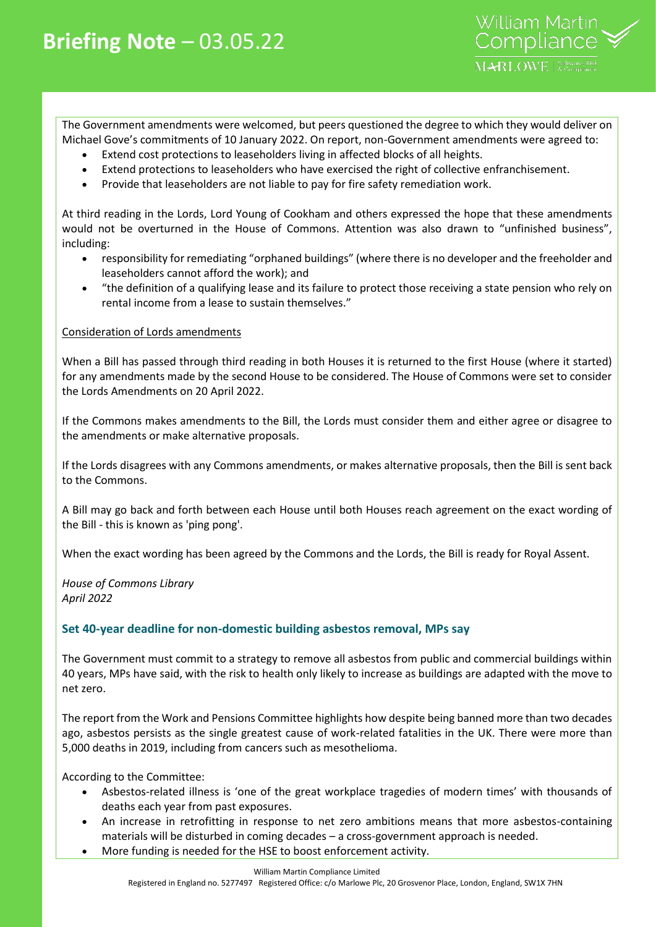The Government amendments were welcomed, but peers questioned the degree to which they would deliver on Michael Gove's commitments of 10 January 2022. On report, non-Government amendments were agreed to:

- Extend cost protections to leaseholders living in affected blocks of all heights.
- Extend protections to leaseholders who have exercised the right of collective enfranchisement.
- Provide that leaseholders are not liable to pay for fire safety remediation work.

At third reading in the Lords, Lord Young of Cookham and others expressed the hope that these amendments would not be overturned in the House of Commons. Attention was also drawn to "unfinished business", including:

- responsibility for remediating "orphaned buildings" (where there is no developer and the freeholder and leaseholders cannot afford the work); and
- "the definition of a qualifying lease and its failure to protect those receiving a state pension who rely on rental income from a lease to sustain themselves."

#### Consideration of Lords amendments

When a Bill has passed through third reading in both Houses it is returned to the first House (where it started) for any amendments made by the second House to be considered. The House of Commons were set to consider the Lords Amendments on 20 April 2022.

If the Commons makes amendments to the Bill, the Lords must consider them and either agree or disagree to the amendments or make alternative proposals.

If the Lords disagrees with any Commons amendments, or makes alternative proposals, then the Bill is sent back to the Commons.

A Bill may go back and forth between each House until both Houses reach agreement on the exact wording of the Bill - this is known as 'ping pong'.

When the exact wording has been agreed by the Commons and the Lords, the Bill is ready for Royal Assent.

*House of Commons Library April 2022*

## **Set 40-year deadline for non-domestic building asbestos removal, MPs say**

The Government must commit to a strategy to remove all asbestos from public and commercial buildings within 40 years, MPs have said, with the risk to health only likely to increase as buildings are adapted with the move to net zero.

The report from the Work and Pensions Committee highlights how despite being banned more than two decades ago, asbestos persists as the single greatest cause of work-related fatalities in the UK. There were more than 5,000 deaths in 2019, including from cancers such as mesothelioma.

According to the Committee:

- Asbestos-related illness is 'one of the great workplace tragedies of modern times' with thousands of deaths each year from past exposures.
- An increase in retrofitting in response to net zero ambitions means that more asbestos-containing materials will be disturbed in coming decades – a cross-government approach is needed.
	- More funding is needed for the HSE to boost enforcement activity.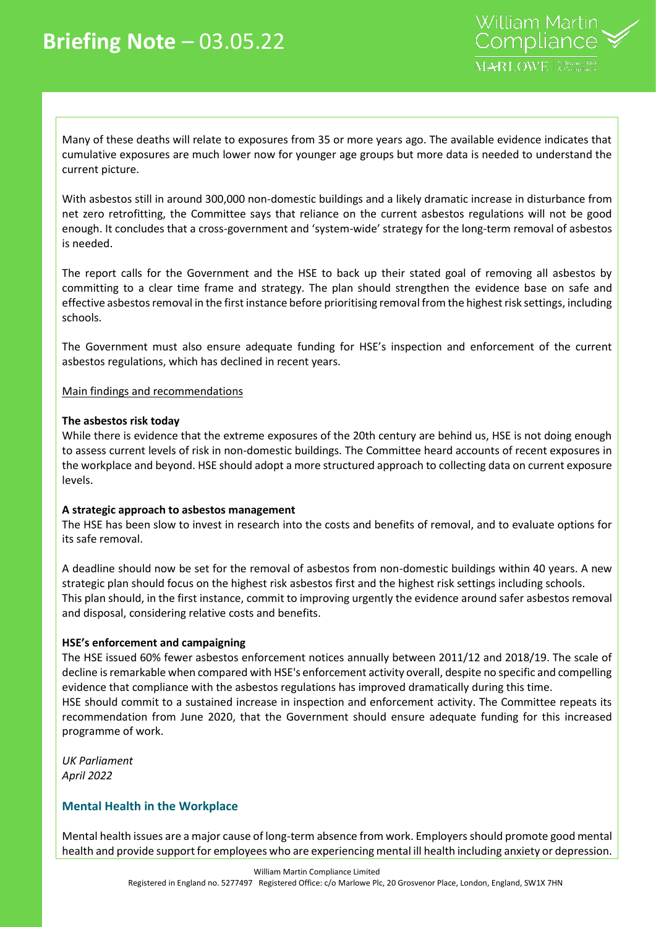

Many of these deaths will relate to exposures from 35 or more years ago. The available evidence indicates that cumulative exposures are much lower now for younger age groups but more data is needed to understand the current picture.

With asbestos still in around 300,000 non-domestic buildings and a likely dramatic increase in disturbance from net zero retrofitting, the Committee says that reliance on the current asbestos regulations will not be good enough. It concludes that a cross-government and 'system-wide' strategy for the long-term removal of asbestos is needed.

The report calls for the Government and the HSE to back up their stated goal of removing all asbestos by committing to a clear time frame and strategy. The plan should strengthen the evidence base on safe and effective asbestos removal in the first instance before prioritising removal from the highest risk settings, including schools.

The Government must also ensure adequate funding for HSE's inspection and enforcement of the current asbestos regulations, which has declined in recent years.

#### Main findings and recommendations

#### **The asbestos risk today**

While there is evidence that the extreme exposures of the 20th century are behind us, HSE is not doing enough to assess current levels of risk in non-domestic buildings. The Committee heard accounts of recent exposures in the workplace and beyond. HSE should adopt a more structured approach to collecting data on current exposure levels.

#### **A strategic approach to asbestos management**

The HSE has been slow to invest in research into the costs and benefits of removal, and to evaluate options for its safe removal.

A deadline should now be set for the removal of asbestos from non-domestic buildings within 40 years. A new strategic plan should focus on the highest risk asbestos first and the highest risk settings including schools. This plan should, in the first instance, commit to improving urgently the evidence around safer asbestos removal and disposal, considering relative costs and benefits.

#### **HSE's enforcement and campaigning**

The HSE issued 60% fewer asbestos enforcement notices annually between 2011/12 and 2018/19. The scale of decline is remarkable when compared with HSE's enforcement activity overall, despite no specific and compelling evidence that compliance with the asbestos regulations has improved dramatically during this time. HSE should commit to a sustained increase in inspection and enforcement activity. The Committee repeats its

recommendation from June 2020, that the Government should ensure adequate funding for this increased programme of work.

*UK Parliament April 2022*

#### **Mental Health in the Workplace**

Mental health issues are a major cause of long-term absence from work. Employers should promote good mental health and provide support for employees who are experiencing mental ill health including anxiety or depression.